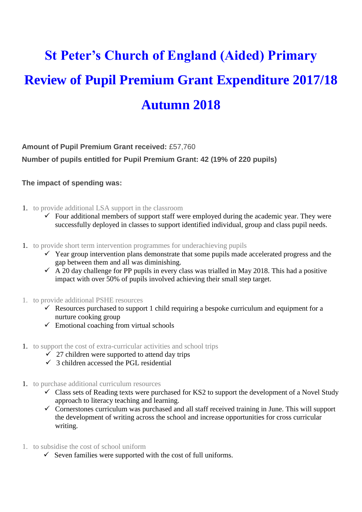## **St Peter's Church of England (Aided) Primary Review of Pupil Premium Grant Expenditure 2017/18 Autumn 2018**

**Amount of Pupil Premium Grant received:** £57,760 **Number of pupils entitled for Pupil Premium Grant: 42 (19% of 220 pupils)**

## **The impact of spending was:**

- 1. to provide additional LSA support in the classroom
	- $\checkmark$  Four additional members of support staff were employed during the academic year. They were successfully deployed in classes to support identified individual, group and class pupil needs.
- 1. to provide short term intervention programmes for underachieving pupils
	- $\checkmark$  Year group intervention plans demonstrate that some pupils made accelerated progress and the gap between them and all was diminishing.
	- $\angle$  A 20 day challenge for PP pupils in every class was trialled in May 2018. This had a positive impact with over 50% of pupils involved achieving their small step target.
- 1. to provide additional PSHE resources
	- $\checkmark$  Resources purchased to support 1 child requiring a bespoke curriculum and equipment for a nurture cooking group
	- $\checkmark$  Emotional coaching from virtual schools
- 1. to support the cost of extra-curricular activities and school trips
	- $\overline{\smash[b]{27}}$  children were supported to attend day trips
	- $\checkmark$  3 children accessed the PGL residential
- 1. to purchase additional curriculum resources
	- $\checkmark$  Class sets of Reading texts were purchased for KS2 to support the development of a Novel Study approach to literacy teaching and learning.
	- $\checkmark$  Cornerstones curriculum was purchased and all staff received training in June. This will support the development of writing across the school and increase opportunities for cross curricular writing.
- 1. to subsidise the cost of school uniform
	- $\checkmark$  Seven families were supported with the cost of full uniforms.